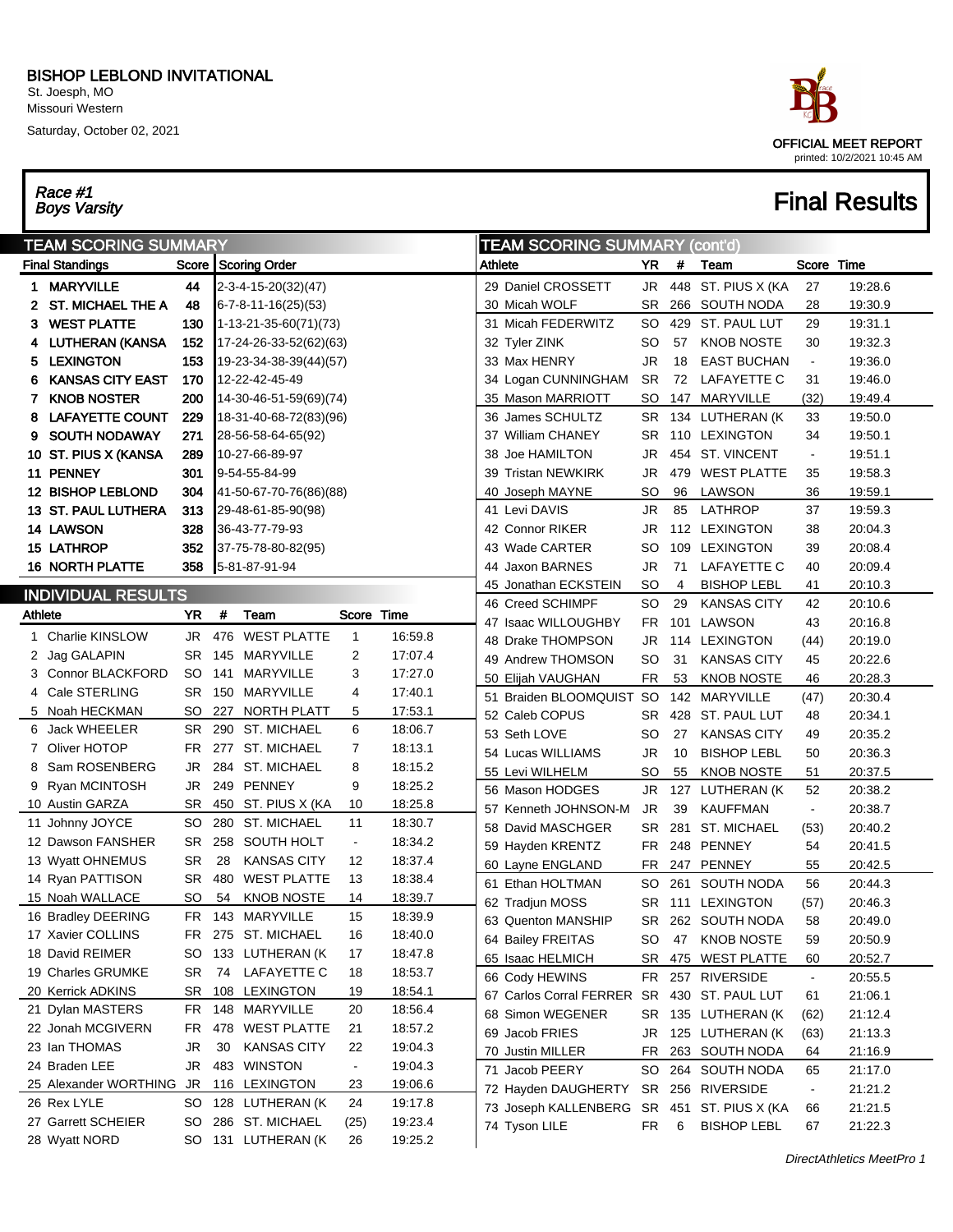#### BISHOP LEBLOND INVITATIONAL St. Joesph, MO Missouri Western

Saturday, October 02, 2021

Race #1<br>Boys Varsity



# **Final Results**

| <b>TEAM SCORING SUMMARY</b> |                                          |           |    |                                    |                |                    | <b>TEAM SCORING SUMMARY (cont'd)</b> |                                            |           |     |                    |                |         |
|-----------------------------|------------------------------------------|-----------|----|------------------------------------|----------------|--------------------|--------------------------------------|--------------------------------------------|-----------|-----|--------------------|----------------|---------|
|                             | <b>Final Standings</b>                   |           |    | Score Scoring Order                |                |                    | Athlete                              |                                            | YR        | #   | Team               | Score Time     |         |
|                             | 1 MARYVILLE                              | 44        |    | 2-3-4-15-20(32)(47)                |                |                    |                                      | 29 Daniel CROSSETT                         | JR        |     | 448 ST. PIUS X (KA | 27             | 19:28.6 |
|                             | <b>ST. MICHAEL THE A</b>                 | 48        |    | 6-7-8-11-16(25)(53)                |                |                    |                                      | 30 Micah WOLF                              | SR        |     | 266 SOUTH NODA     | 28             | 19:30.9 |
| 3.                          | <b>WEST PLATTE</b>                       | 130       |    | 1-13-21-35-60(71)(73)              |                |                    |                                      | 31 Micah FEDERWITZ                         | SO        |     | 429 ST. PAUL LUT   | 29             | 19:31.1 |
|                             | LUTHERAN (KANSA                          | 152       |    | 17-24-26-33-52(62)(63)             |                |                    |                                      | 32 Tyler ZINK                              | SO        | 57  | <b>KNOB NOSTE</b>  | 30             | 19:32.3 |
|                             | 5 LEXINGTON                              | 153       |    | 19-23-34-38-39(44)(57)             |                |                    |                                      | 33 Max HENRY                               | JR        | 18  | <b>EAST BUCHAN</b> | $\blacksquare$ | 19:36.0 |
| 6                           | <b>KANSAS CITY EAST</b>                  | 170       |    | 12-22-42-45-49                     |                |                    |                                      | 34 Logan CUNNINGHAM                        | <b>SR</b> | 72  | LAFAYETTE C        | 31             | 19:46.0 |
| 7.                          | <b>KNOB NOSTER</b>                       | 200       |    | 14-30-46-51-59(69)(74)             |                |                    |                                      | 35 Mason MARRIOTT                          | SO        |     | 147 MARYVILLE      | (32)           | 19:49.4 |
| 8                           | <b>LAFAYETTE COUNT</b>                   | 229       |    | 18-31-40-68-72(83)(96)             |                |                    |                                      | 36 James SCHULTZ                           | SR.       |     | 134 LUTHERAN (K    | 33             | 19:50.0 |
| 9                           | <b>SOUTH NODAWAY</b>                     | 271       |    | 28-56-58-64-65(92)                 |                |                    |                                      | 37 William CHANEY                          | SR.       |     | 110 LEXINGTON      | 34             | 19:50.1 |
|                             | 10 ST. PIUS X (KANSA                     | 289       |    | 10-27-66-89-97                     |                |                    |                                      | 38 Joe HAMILTON                            | JR        |     | 454 ST. VINCENT    | $\blacksquare$ | 19:51.1 |
|                             | 11 PENNEY                                | 301       |    | 9-54-55-84-99                      |                |                    |                                      | 39 Tristan NEWKIRK                         | JR        |     | 479 WEST PLATTE    | 35             | 19:58.3 |
|                             | <b>12 BISHOP LEBLOND</b>                 | 304       |    | 41-50-67-70-76(86)(88)             |                |                    |                                      | 40 Joseph MAYNE                            | SO        | 96  | LAWSON             | 36             | 19:59.1 |
|                             | <b>13 ST. PAUL LUTHERA</b>               | 313       |    | 29-48-61-85-90(98)                 |                |                    |                                      | 41 Levi DAVIS                              | JR        | 85  | LATHROP            | 37             | 19:59.3 |
|                             | 14 LAWSON                                | 328       |    | 36-43-77-79-93                     |                |                    |                                      | 42 Connor RIKER                            | JR        |     | 112 LEXINGTON      | 38             | 20:04.3 |
|                             | <b>15 LATHROP</b>                        | 352       |    | 37-75-78-80-82(95)                 |                |                    |                                      | 43 Wade CARTER                             | SO        |     | 109 LEXINGTON      | 39             | 20:08.4 |
|                             | <b>16 NORTH PLATTE</b>                   | 358       |    | 5-81-87-91-94                      |                |                    |                                      | 44 Jaxon BARNES                            | JR        | 71  | LAFAYETTE C        | 40             | 20:09.4 |
|                             | <b>INDIVIDUAL RESULTS</b>                |           |    |                                    |                |                    |                                      | 45 Jonathan ECKSTEIN                       | SO        | 4   | <b>BISHOP LEBL</b> | 41             | 20:10.3 |
|                             | YR<br>#<br>Team<br>Score Time<br>Athlete |           |    |                                    |                |                    |                                      | 46 Creed SCHIMPF                           | SO        | 29  | <b>KANSAS CITY</b> | 42             | 20:10.6 |
|                             |                                          |           |    |                                    |                |                    |                                      | 47 Isaac WILLOUGHBY                        | FR        | 101 | LAWSON             | 43             | 20:16.8 |
| 1.                          | Charlie KINSLOW                          | JR        |    | 476 WEST PLATTE                    | $\mathbf{1}$   | 16:59.8            |                                      | 48 Drake THOMPSON                          | JR.       |     | 114 LEXINGTON      | (44)           | 20:19.0 |
|                             | 2 Jag GALAPIN                            | SR        |    | 145 MARYVILLE                      | 2              | 17:07.4            |                                      | 49 Andrew THOMSON                          | SO        | 31  | <b>KANSAS CITY</b> | 45             | 20:22.6 |
|                             | 3 Connor BLACKFORD                       | SO.       |    | 141 MARYVILLE                      | 3              | 17:27.0            |                                      | 50 Elijah VAUGHAN                          | FR        | 53  | <b>KNOB NOSTE</b>  | 46             | 20:28.3 |
|                             | 4 Cale STERLING                          | SR        |    | 150 MARYVILLE                      | 4              | 17:40.1            |                                      | 51 Braiden BLOOMQUIST                      | <b>SO</b> |     | 142 MARYVILLE      | (47)           | 20:30.4 |
|                             | 5 Noah HECKMAN                           | SO        |    | 227 NORTH PLATT                    | 5              | 17:53.1            |                                      | 52 Caleb COPUS                             | SR        |     | 428 ST. PAUL LUT   | 48             | 20:34.1 |
|                             | 6 Jack WHEELER                           | SR        |    | 290 ST. MICHAEL                    | 6              | 18:06.7            |                                      | 53 Seth LOVE                               | SO        | 27  | <b>KANSAS CITY</b> | 49             | 20:35.2 |
|                             | 7 Oliver HOTOP                           | FR        |    | 277 ST. MICHAEL<br>284 ST. MICHAEL | $\overline{7}$ | 18:13.1            |                                      | 54 Lucas WILLIAMS                          | JR        | 10  | <b>BISHOP LEBL</b> | 50             | 20:36.3 |
| 8                           | Sam ROSENBERG                            | JR        |    |                                    | 8              | 18:15.2            |                                      | 55 Levi WILHELM                            | SO        | 55  | <b>KNOB NOSTE</b>  | 51             | 20:37.5 |
|                             | 9 Ryan MCINTOSH                          | JR<br>SR  |    | 249 PENNEY<br>450 ST. PIUS X (KA   | 9              | 18:25.2<br>18:25.8 |                                      | 56 Mason HODGES                            | JR        |     | 127 LUTHERAN (K    | 52             | 20:38.2 |
|                             | 10 Austin GARZA                          | SO        |    | 280 ST. MICHAEL                    | 10<br>11       | 18:30.7            |                                      | 57 Kenneth JOHNSON-M                       | JR        | 39  | <b>KAUFFMAN</b>    | $\blacksquare$ | 20:38.7 |
|                             | 11 Johnny JOYCE<br>12 Dawson FANSHER     | <b>SR</b> |    | 258 SOUTH HOLT                     | $\blacksquare$ | 18:34.2            |                                      | 58 David MASCHGER                          | SR        | 281 | <b>ST. MICHAEL</b> | (53)           | 20:40.2 |
|                             | 13 Wyatt OHNEMUS                         | <b>SR</b> | 28 | <b>KANSAS CITY</b>                 | 12             | 18:37.4            |                                      | 59 Hayden KRENTZ                           | FR        |     | 248 PENNEY         | 54             | 20:41.5 |
|                             | 14 Ryan PATTISON                         | SR        |    | 480 WEST PLATTE                    | 13             | 18:38.4            |                                      | 60 Layne ENGLAND                           | FR        |     | 247 PENNEY         | 55             | 20:42.5 |
|                             | 15 Noah WALLACE                          | SO        | 54 | <b>KNOB NOSTE</b>                  | 14             | 18:39.7            |                                      | 61 Ethan HOLTMAN                           | SO        | 261 | SOUTH NODA         | 56             | 20:44.3 |
|                             | 16 Bradley DEERING                       | FR        |    | 143 MARYVILLE                      | 15             | 18:39.9            |                                      | 62 Tradjun MOSS                            | <b>SR</b> |     | 111 LEXINGTON      | (57)           | 20:46.3 |
|                             | 17 Xavier COLLINS                        | FR        |    | 275 ST. MICHAEL                    | 16             | 18:40.0            |                                      | 63 Quenton MANSHIP                         | SR        |     | 262 SOUTH NODA     | 58             | 20:49.0 |
|                             | 18 David REIMER                          | SO        |    | 133 LUTHERAN (K                    | 17             | 18:47.8            |                                      | 64 Bailey FREITAS                          | SO        |     | 47 KNOB NOSTE      | 59             | 20:50.9 |
|                             | 19 Charles GRUMKE                        | SR        |    | 74 LAFAYETTE C                     | 18             | 18:53.7            |                                      | 65 Isaac HELMICH                           | SR        |     | 475 WEST PLATTE    | 60             | 20:52.7 |
|                             | 20 Kerrick ADKINS                        |           |    | SR 108 LEXINGTON                   | 19             | 18:54.1            |                                      | 66 Cody HEWINS                             | FR        |     | 257 RIVERSIDE      | $\blacksquare$ | 20:55.5 |
|                             | 21 Dylan MASTERS                         |           |    | FR 148 MARYVILLE                   | 20             | 18:56.4            |                                      | 67 Carlos Corral FERRER SR                 |           |     | 430 ST. PAUL LUT   | 61             | 21:06.1 |
|                             | 22 Jonah MCGIVERN                        | FR        |    | 478 WEST PLATTE                    | 21             | 18:57.2            |                                      | 68 Simon WEGENER                           | SR        |     | 135 LUTHERAN (K    | (62)           | 21:12.4 |
|                             | 23 Ian THOMAS                            | JR        | 30 | <b>KANSAS CITY</b>                 | 22             | 19:04.3            |                                      | 69 Jacob FRIES                             | JR        |     | 125 LUTHERAN (K    | (63)           | 21:13.3 |
|                             | 24 Braden LEE                            | JR        |    | 483 WINSTON                        | $\blacksquare$ | 19:04.3            |                                      | 70 Justin MILLER                           | FR        |     | 263 SOUTH NODA     | 64             | 21:16.9 |
|                             | 25 Alexander WORTHING JR                 |           |    | 116 LEXINGTON                      | 23             | 19:06.6            |                                      | 71 Jacob PEERY                             | SO        |     | 264 SOUTH NODA     | 65             | 21:17.0 |
|                             | 26 Rex LYLE                              |           |    | SO 128 LUTHERAN (K                 | 24             | 19:17.8            |                                      | 72 Hayden DAUGHERTY SR 256 RIVERSIDE       |           |     |                    | $\blacksquare$ | 21:21.2 |
|                             | 27 Garrett SCHEIER                       | SO        |    | 286 ST. MICHAEL                    | (25)           | 19:23.4            |                                      | 73 Joseph KALLENBERG SR 451 ST. PIUS X (KA |           |     |                    | 66             | 21:21.5 |
|                             | 28 Wyatt NORD                            |           |    | SO 131 LUTHERAN (K                 | 26             | 19:25.2            |                                      | 74 Tyson LILE                              | FR        | 6   | <b>BISHOP LEBL</b> | 67             | 21:22.3 |
|                             |                                          |           |    |                                    |                |                    |                                      |                                            |           |     |                    |                |         |